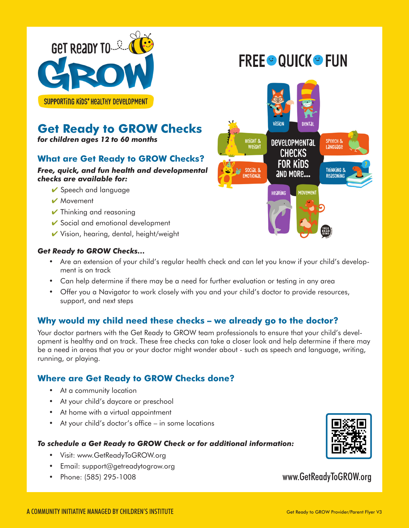

# **FREE OUICK OF FUN**



SUPPORTING KIDS' HEALTHY DEVELOPMENT

## **Get Ready to GROW Checks**

*for children ages 12 to 60 months*

## **What are Get Ready to GROW Checks?**

### *Free, quick, and fun health and developmental checks are available for:*

- $\vee$  Speech and language
- ✔ Movement
- $\vee$  Thinking and reasoning
- $\checkmark$  Social and emotional development
- $\checkmark$  Vision, hearing, dental, height/weight

### *Get Ready to GROW Checks…*

- Are an extension of your child's regular health check and can let you know if your child's development is on track
- Can help determine if there may be a need for further evaluation or testing in any area
- Offer you a Navigator to work closely with you and your child's doctor to provide resources, support, and next steps

## **Why would my child need these checks – we already go to the doctor?**

Your doctor partners with the Get Ready to GROW team professionals to ensure that your child's development is healthy and on track. These free checks can take a closer look and help determine if there may be a need in areas that you or your doctor might wonder about - such as speech and language, writing, running, or playing.

## **Where are Get Ready to GROW Checks done?**

- At a community location
- At your child's daycare or preschool
- At home with a virtual appointment
- At your child's doctor's office in some locations

### *To schedule a Get Ready to GROW Check or for additional information:*

- Visit: www.GetReadyToGROW.org
- Email: support@getreadytogrow.org
- Phone: (585) 295-1008



www.GetReadyToGROW.org